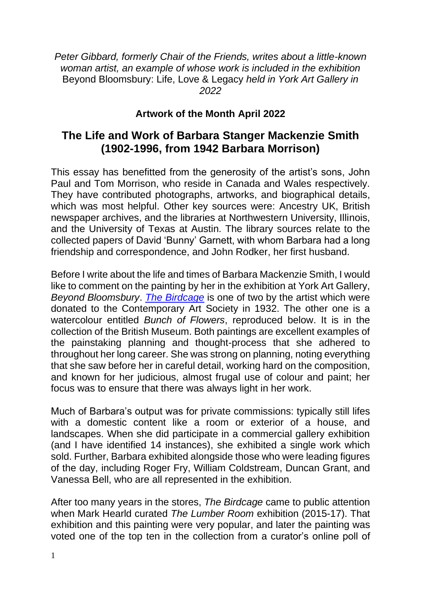*Peter Gibbard, formerly Chair of the Friends, writes about a little-known woman artist, an example of whose work is included in the exhibition*  Beyond Bloomsbury: Life, Love & Legacy *held in York Art Gallery in 2022*

## **Artwork of the Month April 2022**

## **The Life and Work of Barbara Stanger Mackenzie Smith (1902-1996, from 1942 Barbara Morrison)**

This essay has benefitted from the generosity of the artist's sons, John Paul and Tom Morrison, who reside in Canada and Wales respectively. They have contributed photographs, artworks, and biographical details, which was most helpful. Other key sources were: Ancestry UK, British newspaper archives, and the libraries at Northwestern University, Illinois, and the University of Texas at Austin. The library sources relate to the collected papers of David 'Bunny' Garnett, with whom Barbara had a long friendship and correspondence, and John Rodker, her first husband.

Before I write about the life and times of Barbara Mackenzie Smith, I would like to comment on the painting by her in the exhibition at York Art Gallery, *Beyond Bloomsbury*. *[The Birdcage](https://artuk.org/discover/artworks/the-birdcage-8471)* is one of two by the artist which were donated to the Contemporary Art Society in 1932. The other one is a watercolour entitled *Bunch of Flowers*, reproduced below. It is in the collection of the British Museum. Both paintings are excellent examples of the painstaking planning and thought-process that she adhered to throughout her long career. She was strong on planning, noting everything that she saw before her in careful detail, working hard on the composition, and known for her judicious, almost frugal use of colour and paint; her focus was to ensure that there was always light in her work.

Much of Barbara's output was for private commissions: typically still lifes with a domestic content like a room or exterior of a house, and landscapes. When she did participate in a commercial gallery exhibition (and I have identified 14 instances), she exhibited a single work which sold. Further, Barbara exhibited alongside those who were leading figures of the day, including Roger Fry, William Coldstream, Duncan Grant, and Vanessa Bell, who are all represented in the exhibition.

After too many years in the stores, *The Birdcage* came to public attention when Mark Hearld curated *The Lumber Room* exhibition (2015-17). That exhibition and this painting were very popular, and later the painting was voted one of the top ten in the collection from a curator's online poll of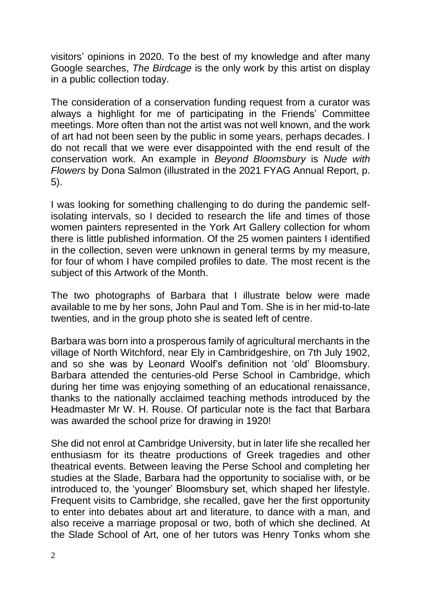visitors' opinions in 2020. To the best of my knowledge and after many Google searches, *The Birdcage* is the only work by this artist on display in a public collection today.

The consideration of a conservation funding request from a curator was always a highlight for me of participating in the Friends' Committee meetings. More often than not the artist was not well known, and the work of art had not been seen by the public in some years, perhaps decades. I do not recall that we were ever disappointed with the end result of the conservation work. An example in *Beyond Bloomsbury* is *Nude with Flowers* by Dona Salmon (illustrated in the 2021 FYAG Annual Report, p. 5).

I was looking for something challenging to do during the pandemic selfisolating intervals, so I decided to research the life and times of those women painters represented in the York Art Gallery collection for whom there is little published information. Of the 25 women painters I identified in the collection, seven were unknown in general terms by my measure, for four of whom I have compiled profiles to date. The most recent is the subject of this Artwork of the Month.

The two photographs of Barbara that I illustrate below were made available to me by her sons, John Paul and Tom. She is in her mid-to-late twenties, and in the group photo she is seated left of centre.

Barbara was born into a prosperous family of agricultural merchants in the village of North Witchford, near Ely in Cambridgeshire, on 7th July 1902, and so she was by Leonard Woolf's definition not 'old' Bloomsbury. Barbara attended the centuries-old Perse School in Cambridge, which during her time was enjoying something of an educational renaissance, thanks to the nationally acclaimed teaching methods introduced by the Headmaster Mr W. H. Rouse. Of particular note is the fact that Barbara was awarded the school prize for drawing in 1920!

She did not enrol at Cambridge University, but in later life she recalled her enthusiasm for its theatre productions of Greek tragedies and other theatrical events. Between leaving the Perse School and completing her studies at the Slade, Barbara had the opportunity to socialise with, or be introduced to, the 'younger' Bloomsbury set, which shaped her lifestyle. Frequent visits to Cambridge, she recalled, gave her the first opportunity to enter into debates about art and literature, to dance with a man, and also receive a marriage proposal or two, both of which she declined. At the Slade School of Art, one of her tutors was Henry Tonks whom she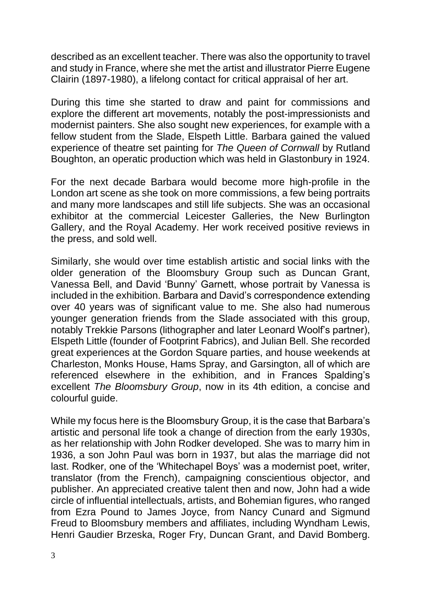described as an excellent teacher. There was also the opportunity to travel and study in France, where she met the artist and illustrator Pierre Eugene Clairin (1897-1980), a lifelong contact for critical appraisal of her art.

During this time she started to draw and paint for commissions and explore the different art movements, notably the post-impressionists and modernist painters. She also sought new experiences, for example with a fellow student from the Slade, Elspeth Little. Barbara gained the valued experience of theatre set painting for *The Queen of Cornwall* by Rutland Boughton, an operatic production which was held in Glastonbury in 1924.

For the next decade Barbara would become more high-profile in the London art scene as she took on more commissions, a few being portraits and many more landscapes and still life subjects. She was an occasional exhibitor at the commercial Leicester Galleries, the New Burlington Gallery, and the Royal Academy. Her work received positive reviews in the press, and sold well.

Similarly, she would over time establish artistic and social links with the older generation of the Bloomsbury Group such as Duncan Grant, Vanessa Bell, and David 'Bunny' Garnett, whose portrait by Vanessa is included in the exhibition. Barbara and David's correspondence extending over 40 years was of significant value to me. She also had numerous younger generation friends from the Slade associated with this group, notably Trekkie Parsons (lithographer and later Leonard Woolf's partner), Elspeth Little (founder of Footprint Fabrics), and Julian Bell. She recorded great experiences at the Gordon Square parties, and house weekends at Charleston, Monks House, Hams Spray, and Garsington, all of which are referenced elsewhere in the exhibition, and in Frances Spalding's excellent *The Bloomsbury Group*, now in its 4th edition, a concise and colourful guide.

While my focus here is the Bloomsbury Group, it is the case that Barbara's artistic and personal life took a change of direction from the early 1930s, as her relationship with John Rodker developed. She was to marry him in 1936, a son John Paul was born in 1937, but alas the marriage did not last. Rodker, one of the 'Whitechapel Boys' was a modernist poet, writer, translator (from the French), campaigning conscientious objector, and publisher. An appreciated creative talent then and now, John had a wide circle of influential intellectuals, artists, and Bohemian figures, who ranged from Ezra Pound to James Joyce, from Nancy Cunard and Sigmund Freud to Bloomsbury members and affiliates, including Wyndham Lewis, Henri Gaudier Brzeska, Roger Fry, Duncan Grant, and David Bomberg.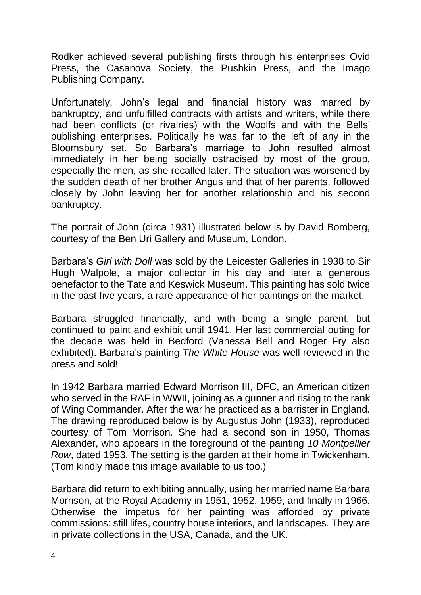Rodker achieved several publishing firsts through his enterprises Ovid Press, the Casanova Society, the Pushkin Press, and the Imago Publishing Company.

Unfortunately, John's legal and financial history was marred by bankruptcy, and unfulfilled contracts with artists and writers, while there had been conflicts (or rivalries) with the Woolfs and with the Bells' publishing enterprises. Politically he was far to the left of any in the Bloomsbury set. So Barbara's marriage to John resulted almost immediately in her being socially ostracised by most of the group, especially the men, as she recalled later. The situation was worsened by the sudden death of her brother Angus and that of her parents, followed closely by John leaving her for another relationship and his second bankruptcy.

The portrait of John (circa 1931) illustrated below is by David Bomberg, courtesy of the Ben Uri Gallery and Museum, London.

Barbara's *Girl with Doll* was sold by the Leicester Galleries in 1938 to Sir Hugh Walpole, a major collector in his day and later a generous benefactor to the Tate and Keswick Museum. This painting has sold twice in the past five years, a rare appearance of her paintings on the market.

Barbara struggled financially, and with being a single parent, but continued to paint and exhibit until 1941. Her last commercial outing for the decade was held in Bedford (Vanessa Bell and Roger Fry also exhibited). Barbara's painting *The White House* was well reviewed in the press and sold!

In 1942 Barbara married Edward Morrison III, DFC, an American citizen who served in the RAF in WWII, joining as a gunner and rising to the rank of Wing Commander. After the war he practiced as a barrister in England. The drawing reproduced below is by Augustus John (1933), reproduced courtesy of Tom Morrison. She had a second son in 1950, Thomas Alexander, who appears in the foreground of the painting *10 Montpellier Row*, dated 1953. The setting is the garden at their home in Twickenham. (Tom kindly made this image available to us too.)

Barbara did return to exhibiting annually, using her married name Barbara Morrison, at the Royal Academy in 1951, 1952, 1959, and finally in 1966. Otherwise the impetus for her painting was afforded by private commissions: still lifes, country house interiors, and landscapes. They are in private collections in the USA, Canada, and the UK.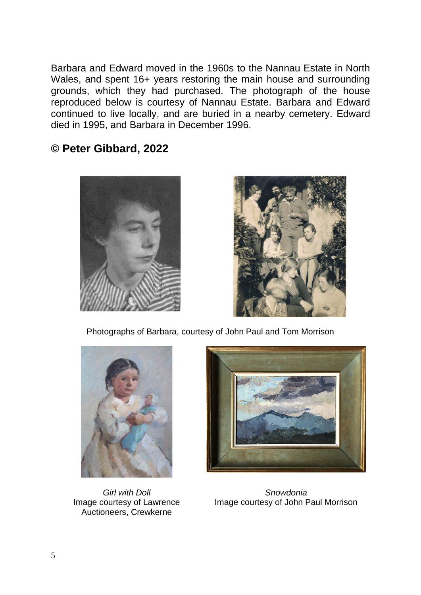Barbara and Edward moved in the 1960s to the Nannau Estate in North Wales, and spent 16+ years restoring the main house and surrounding grounds, which they had purchased. The photograph of the house reproduced below is courtesy of Nannau Estate. Barbara and Edward continued to live locally, and are buried in a nearby cemetery. Edward died in 1995, and Barbara in December 1996.

## **© Peter Gibbard, 2022**





Photographs of Barbara, courtesy of John Paul and Tom Morrison



*Girl with Doll* Image courtesy of Lawrence Auctioneers, Crewkerne



*Snowdonia* Image courtesy of John Paul Morrison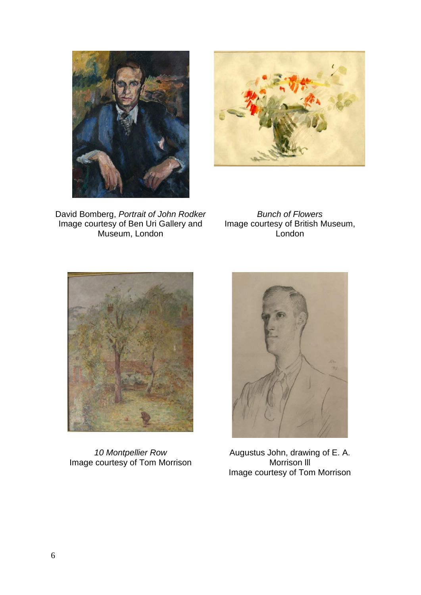



David Bomberg, *Portrait of John Rodker* Image courtesy of Ben Uri Gallery and Museum, London

*Bunch of Flowers* Image courtesy of British Museum, London



*10 Montpellier Row* Image courtesy of Tom Morrison



Augustus John, drawing of E. A. Morrison lll Image courtesy of Tom Morrison